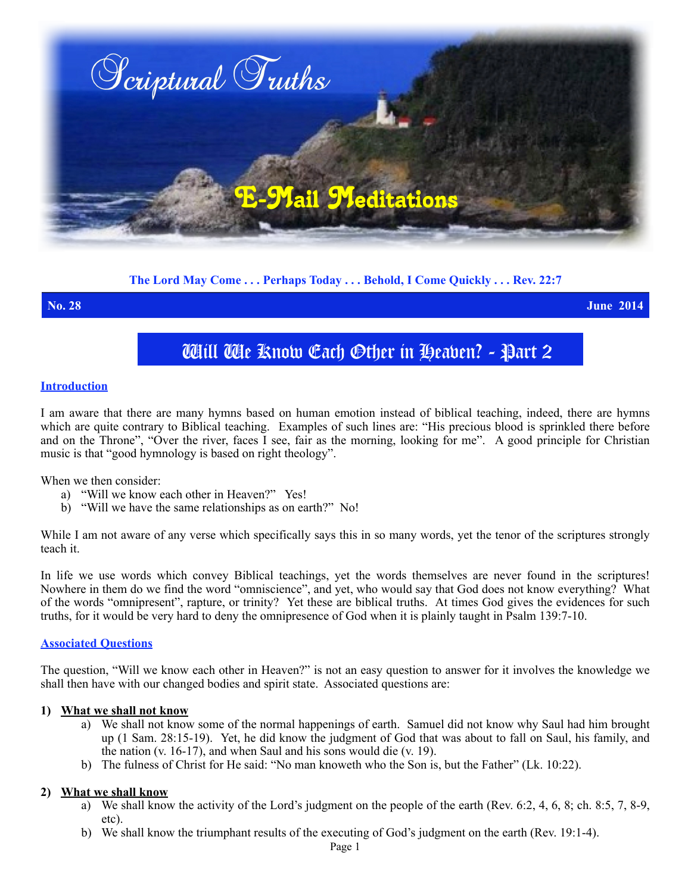

# **The Lord May Come . . . Perhaps Today . . . Behold, I Come Quickly . . . Rev. 22:7**

**No. 28 June 2014**

# Will We Know Each Other in Heaven? - Part 2

### **Introduction**

I am aware that there are many hymns based on human emotion instead of biblical teaching, indeed, there are hymns which are quite contrary to Biblical teaching. Examples of such lines are: "His precious blood is sprinkled there before and on the Throne", "Over the river, faces I see, fair as the morning, looking for me". A good principle for Christian music is that "good hymnology is based on right theology".

When we then consider:

- a) "Will we know each other in Heaven?" Yes!
- b) "Will we have the same relationships as on earth?" No!

While I am not aware of any verse which specifically says this in so many words, yet the tenor of the scriptures strongly teach it.

In life we use words which convey Biblical teachings, yet the words themselves are never found in the scriptures! Nowhere in them do we find the word "omniscience", and yet, who would say that God does not know everything? What of the words "omnipresent", rapture, or trinity? Yet these are biblical truths. At times God gives the evidences for such truths, for it would be very hard to deny the omnipresence of God when it is plainly taught in Psalm 139:7-10.

#### **Associated Questions**

The question, "Will we know each other in Heaven?" is not an easy question to answer for it involves the knowledge we shall then have with our changed bodies and spirit state. Associated questions are:

#### **1) What we shall not know**

- a) We shall not know some of the normal happenings of earth. Samuel did not know why Saul had him brought up (1 Sam. 28:15-19). Yet, he did know the judgment of God that was about to fall on Saul, his family, and the nation (v. 16-17), and when Saul and his sons would die (v. 19).
- b) The fulness of Christ for He said: "No man knoweth who the Son is, but the Father" (Lk. 10:22).

# **2) What we shall know**

- a) We shall know the activity of the Lord's judgment on the people of the earth (Rev. 6:2, 4, 6, 8; ch. 8:5, 7, 8-9, etc).
- b) We shall know the triumphant results of the executing of God's judgment on the earth (Rev. 19:1-4).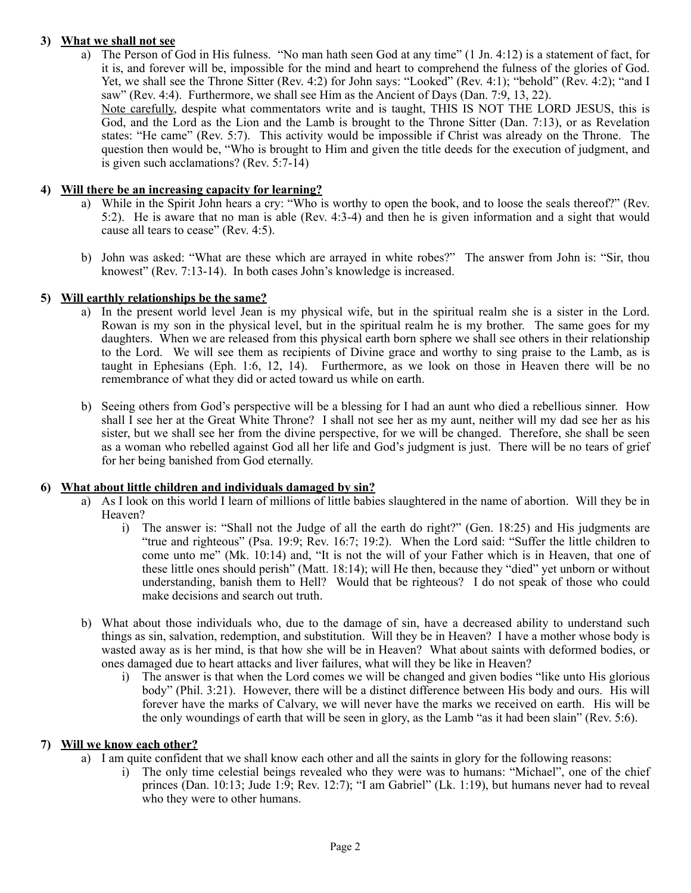# **3) What we shall not see**

a) The Person of God in His fulness. "No man hath seen God at any time" (1 Jn. 4:12) is a statement of fact, for it is, and forever will be, impossible for the mind and heart to comprehend the fulness of the glories of God. Yet, we shall see the Throne Sitter (Rev. 4:2) for John says: "Looked" (Rev. 4:1); "behold" (Rev. 4:2); "and I saw" (Rev. 4:4). Furthermore, we shall see Him as the Ancient of Days (Dan. 7:9, 13, 22).

Note carefully, despite what commentators write and is taught, THIS IS NOT THE LORD JESUS, this is God, and the Lord as the Lion and the Lamb is brought to the Throne Sitter (Dan. 7:13), or as Revelation states: "He came" (Rev. 5:7). This activity would be impossible if Christ was already on the Throne. The question then would be, "Who is brought to Him and given the title deeds for the execution of judgment, and is given such acclamations? (Rev. 5:7-14)

# **4) Will there be an increasing capacity for learning?**

- a) While in the Spirit John hears a cry: "Who is worthy to open the book, and to loose the seals thereof?" (Rev. 5:2). He is aware that no man is able (Rev. 4:3-4) and then he is given information and a sight that would cause all tears to cease" (Rev. 4:5).
- b) John was asked: "What are these which are arrayed in white robes?" The answer from John is: "Sir, thou knowest" (Rev. 7:13-14). In both cases John's knowledge is increased.

# **5) Will earthly relationships be the same?**

- a) In the present world level Jean is my physical wife, but in the spiritual realm she is a sister in the Lord. Rowan is my son in the physical level, but in the spiritual realm he is my brother. The same goes for my daughters. When we are released from this physical earth born sphere we shall see others in their relationship to the Lord. We will see them as recipients of Divine grace and worthy to sing praise to the Lamb, as is taught in Ephesians (Eph. 1:6, 12, 14). Furthermore, as we look on those in Heaven there will be no remembrance of what they did or acted toward us while on earth.
- b) Seeing others from God's perspective will be a blessing for I had an aunt who died a rebellious sinner. How shall I see her at the Great White Throne? I shall not see her as my aunt, neither will my dad see her as his sister, but we shall see her from the divine perspective, for we will be changed. Therefore, she shall be seen as a woman who rebelled against God all her life and God's judgment is just. There will be no tears of grief for her being banished from God eternally.

# **6) What about little children and individuals damaged by sin?**

- a) As I look on this world I learn of millions of little babies slaughtered in the name of abortion. Will they be in Heaven?
	- i) The answer is: "Shall not the Judge of all the earth do right?" (Gen. 18:25) and His judgments are "true and righteous" (Psa. 19:9; Rev. 16:7; 19:2). When the Lord said: "Suffer the little children to come unto me" (Mk. 10:14) and, "It is not the will of your Father which is in Heaven, that one of these little ones should perish" (Matt. 18:14); will He then, because they "died" yet unborn or without understanding, banish them to Hell? Would that be righteous? I do not speak of those who could make decisions and search out truth.
- b) What about those individuals who, due to the damage of sin, have a decreased ability to understand such things as sin, salvation, redemption, and substitution. Will they be in Heaven? I have a mother whose body is wasted away as is her mind, is that how she will be in Heaven? What about saints with deformed bodies, or ones damaged due to heart attacks and liver failures, what will they be like in Heaven?
	- i) The answer is that when the Lord comes we will be changed and given bodies "like unto His glorious body" (Phil. 3:21). However, there will be a distinct difference between His body and ours. His will forever have the marks of Calvary, we will never have the marks we received on earth. His will be the only woundings of earth that will be seen in glory, as the Lamb "as it had been slain" (Rev. 5:6).

# **7) Will we know each other?**

- a) I am quite confident that we shall know each other and all the saints in glory for the following reasons:
	- i) The only time celestial beings revealed who they were was to humans: "Michael", one of the chief princes (Dan. 10:13; Jude 1:9; Rev. 12:7); "I am Gabriel" (Lk. 1:19), but humans never had to reveal who they were to other humans.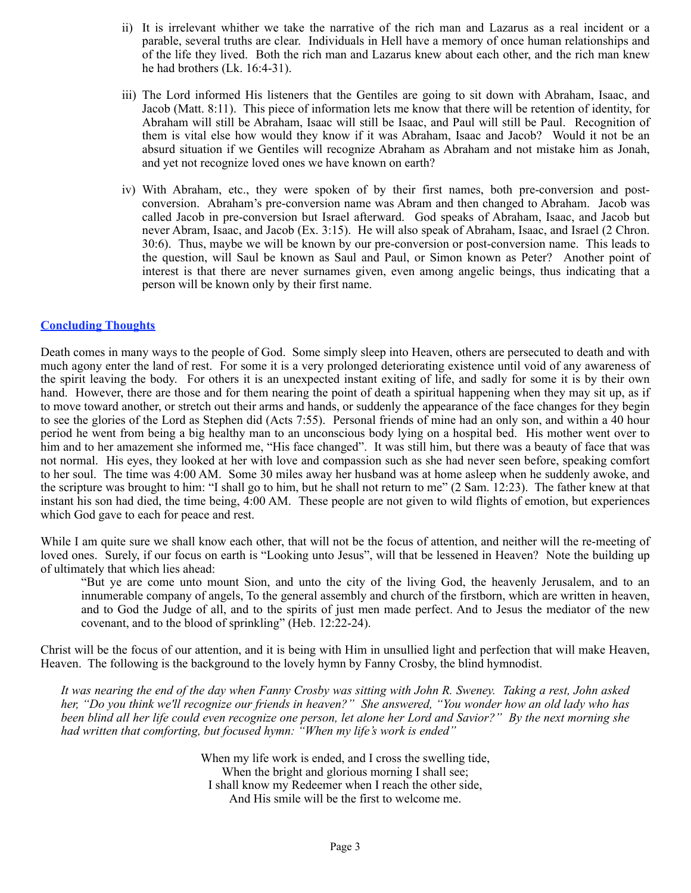- ii) It is irrelevant whither we take the narrative of the rich man and Lazarus as a real incident or a parable, several truths are clear. Individuals in Hell have a memory of once human relationships and of the life they lived. Both the rich man and Lazarus knew about each other, and the rich man knew he had brothers (Lk. 16:4-31).
- iii) The Lord informed His listeners that the Gentiles are going to sit down with Abraham, Isaac, and Jacob (Matt. 8:11). This piece of information lets me know that there will be retention of identity, for Abraham will still be Abraham, Isaac will still be Isaac, and Paul will still be Paul. Recognition of them is vital else how would they know if it was Abraham, Isaac and Jacob? Would it not be an absurd situation if we Gentiles will recognize Abraham as Abraham and not mistake him as Jonah, and yet not recognize loved ones we have known on earth?
- iv) With Abraham, etc., they were spoken of by their first names, both pre-conversion and postconversion. Abraham's pre-conversion name was Abram and then changed to Abraham. Jacob was called Jacob in pre-conversion but Israel afterward. God speaks of Abraham, Isaac, and Jacob but never Abram, Isaac, and Jacob (Ex. 3:15). He will also speak of Abraham, Isaac, and Israel (2 Chron. 30:6). Thus, maybe we will be known by our pre-conversion or post-conversion name. This leads to the question, will Saul be known as Saul and Paul, or Simon known as Peter? Another point of interest is that there are never surnames given, even among angelic beings, thus indicating that a person will be known only by their first name.

# **Concluding Thoughts**

Death comes in many ways to the people of God. Some simply sleep into Heaven, others are persecuted to death and with much agony enter the land of rest. For some it is a very prolonged deteriorating existence until void of any awareness of the spirit leaving the body. For others it is an unexpected instant exiting of life, and sadly for some it is by their own hand. However, there are those and for them nearing the point of death a spiritual happening when they may sit up, as if to move toward another, or stretch out their arms and hands, or suddenly the appearance of the face changes for they begin to see the glories of the Lord as Stephen did (Acts 7:55). Personal friends of mine had an only son, and within a 40 hour period he went from being a big healthy man to an unconscious body lying on a hospital bed. His mother went over to him and to her amazement she informed me, "His face changed". It was still him, but there was a beauty of face that was not normal. His eyes, they looked at her with love and compassion such as she had never seen before, speaking comfort to her soul. The time was 4:00 AM. Some 30 miles away her husband was at home asleep when he suddenly awoke, and the scripture was brought to him: "I shall go to him, but he shall not return to me" (2 Sam. 12:23). The father knew at that instant his son had died, the time being, 4:00 AM. These people are not given to wild flights of emotion, but experiences which God gave to each for peace and rest.

While I am quite sure we shall know each other, that will not be the focus of attention, and neither will the re-meeting of loved ones. Surely, if our focus on earth is "Looking unto Jesus", will that be lessened in Heaven? Note the building up of ultimately that which lies ahead:

"But ye are come unto mount Sion, and unto the city of the living God, the heavenly Jerusalem, and to an innumerable company of angels, To the general assembly and church of the firstborn, which are written in heaven, and to God the Judge of all, and to the spirits of just men made perfect. And to Jesus the mediator of the new covenant, and to the blood of sprinkling" (Heb. 12:22-24).

Christ will be the focus of our attention, and it is being with Him in unsullied light and perfection that will make Heaven, Heaven. The following is the background to the lovely hymn by Fanny Crosby, the blind hymnodist.

*It was nearing the end of the day when Fanny Crosby was sitting with John R. Sweney. Taking a rest, John asked her, "Do you think we'll recognize our friends in heaven?" She answered, "You wonder how an old lady who has been blind all her life could even recognize one person, let alone her Lord and Savior?" By the next morning she had written that comforting, but focused hymn: "When my life's work is ended"* 

> When my life work is ended, and I cross the swelling tide, When the bright and glorious morning I shall see; I shall know my Redeemer when I reach the other side, And His smile will be the first to welcome me.